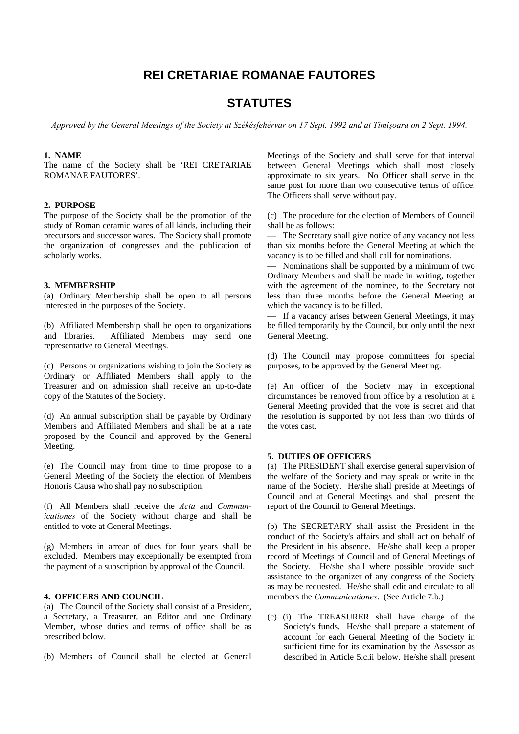# **REI CRETARIAE ROMANAE FAUTORES**

## **STATUTES**

*Approved by the General Meetings of the Society at Székésfehérvar on 17 Sept. 1992 and at Timişoara on 2 Sept. 1994.* 

#### **1. NAME**

The name of the Society shall be 'REI CRETARIAE ROMANAE FAUTORES'.

## **2. PURPOSE**

The purpose of the Society shall be the promotion of the study of Roman ceramic wares of all kinds, including their precursors and successor wares. The Society shall promote the organization of congresses and the publication of scholarly works.

## **3. MEMBERSHIP**

(a) Ordinary Membership shall be open to all persons interested in the purposes of the Society.

(b) Affiliated Membership shall be open to organizations and libraries. Affiliated Members may send one representative to General Meetings.

(c) Persons or organizations wishing to join the Society as Ordinary or Affiliated Members shall apply to the Treasurer and on admission shall receive an up-to-date copy of the Statutes of the Society.

(d) An annual subscription shall be payable by Ordinary Members and Affiliated Members and shall be at a rate proposed by the Council and approved by the General Meeting.

(e) The Council may from time to time propose to a General Meeting of the Society the election of Members Honoris Causa who shall pay no subscription.

(f) All Members shall receive the *Acta* and *Communicationes* of the Society without charge and shall be entitled to vote at General Meetings.

(g) Members in arrear of dues for four years shall be excluded. Members may exceptionally be exempted from the payment of a subscription by approval of the Council.

## **4. OFFICERS AND COUNCIL**

(a) The Council of the Society shall consist of a President, a Secretary, a Treasurer, an Editor and one Ordinary Member, whose duties and terms of office shall be as prescribed below.

(b) Members of Council shall be elected at General

Meetings of the Society and shall serve for that interval between General Meetings which shall most closely approximate to six years. No Officer shall serve in the same post for more than two consecutive terms of office. The Officers shall serve without pay.

(c) The procedure for the election of Members of Council shall be as follows:

— The Secretary shall give notice of any vacancy not less than six months before the General Meeting at which the vacancy is to be filled and shall call for nominations.

— Nominations shall be supported by a minimum of two Ordinary Members and shall be made in writing, together with the agreement of the nominee, to the Secretary not less than three months before the General Meeting at which the vacancy is to be filled.

— If a vacancy arises between General Meetings, it may be filled temporarily by the Council, but only until the next General Meeting.

(d) The Council may propose committees for special purposes, to be approved by the General Meeting.

(e) An officer of the Society may in exceptional circumstances be removed from office by a resolution at a General Meeting provided that the vote is secret and that the resolution is supported by not less than two thirds of the votes cast.

## **5. DUTIES OF OFFICERS**

(a) The PRESIDENT shall exercise general supervision of the welfare of the Society and may speak or write in the name of the Society. He/she shall preside at Meetings of Council and at General Meetings and shall present the report of the Council to General Meetings.

(b) The SECRETARY shall assist the President in the conduct of the Society's affairs and shall act on behalf of the President in his absence. He/she shall keep a proper record of Meetings of Council and of General Meetings of the Society. He/she shall where possible provide such assistance to the organizer of any congress of the Society as may be requested. He/she shall edit and circulate to all members the *Communicationes*. (See Article 7.b.)

(c) (i) The TREASURER shall have charge of the Society's funds. He/she shall prepare a statement of account for each General Meeting of the Society in sufficient time for its examination by the Assessor as described in Article 5.c.ii below. He/she shall present